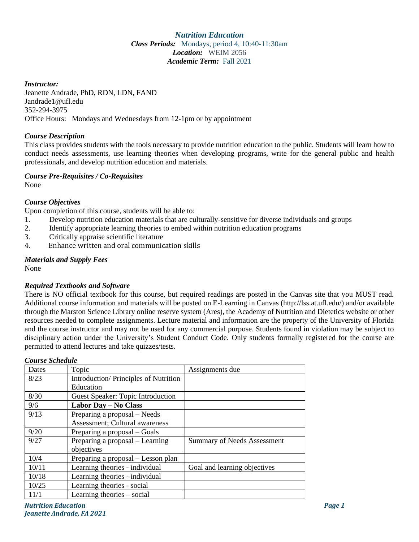### *Nutrition Education Class Periods:* Mondays, period 4, 10:40-11:30am *Location:* WEIM 2056 *Academic Term:* Fall 2021

### *Instructor:*

Jeanette Andrade, PhD, RDN, LDN, FAND Jandrade1@ufl.edu 352-294-3975 Office Hours: Mondays and Wednesdays from 12-1pm or by appointment

### *Course Description*

This class provides students with the tools necessary to provide nutrition education to the public. Students will learn how to conduct needs assessments, use learning theories when developing programs, write for the general public and health professionals, and develop nutrition education and materials.

### *Course Pre-Requisites / Co-Requisites*

None

# *Course Objectives*

Upon completion of this course, students will be able to:

- 1. Develop nutrition education materials that are culturally-sensitive for diverse individuals and groups
- 2. Identify appropriate learning theories to embed within nutrition education programs
- 3. Critically appraise scientific literature
- 4. Enhance written and oral communication skills

# *Materials and Supply Fees*

None

# *Required Textbooks and Software*

There is NO official textbook for this course, but required readings are posted in the Canvas site that you MUST read. Additional course information and materials will be posted on E-Learning in Canvas (http://lss.at.ufl.edu/) and/or available through the Marston Science Library online reserve system (Ares), the Academy of Nutrition and Dietetics website or other resources needed to complete assignments. Lecture material and information are the property of the University of Florida and the course instructor and may not be used for any commercial purpose. Students found in violation may be subject to disciplinary action under the University's Student Conduct Code. Only students formally registered for the course are permitted to attend lectures and take quizzes/tests.

| Dates | Topic                                         | Assignments due                    |
|-------|-----------------------------------------------|------------------------------------|
| 8/23  | Introduction/Principles of Nutrition          |                                    |
|       | Education                                     |                                    |
| 8/30  | <b>Guest Speaker: Topic Introduction</b>      |                                    |
| 9/6   | Labor Day - No Class                          |                                    |
| 9/13  | Preparing a proposal - Needs                  |                                    |
|       | Assessment; Cultural awareness                |                                    |
| 9/20  | Preparing a proposal – Goals                  |                                    |
| 9/27  | Preparing a proposal – Learning<br>objectives | <b>Summary of Needs Assessment</b> |
| 10/4  | Preparing a proposal – Lesson plan            |                                    |
| 10/11 | Learning theories - individual                | Goal and learning objectives       |
| 10/18 | Learning theories - individual                |                                    |
| 10/25 | Learning theories - social                    |                                    |
| 11/1  | Learning theories – social                    |                                    |

# *Course Schedule*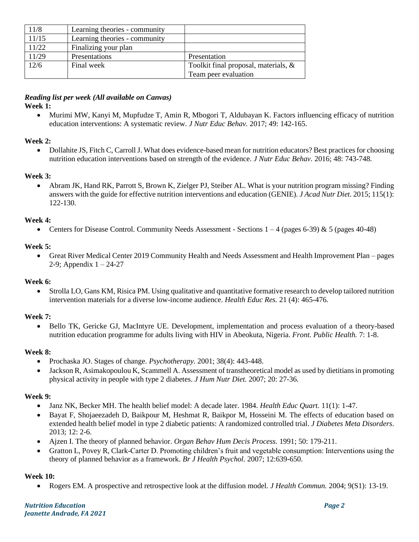| 11/8  | Learning theories - community |                                      |
|-------|-------------------------------|--------------------------------------|
| 11/15 | Learning theories - community |                                      |
| 11/22 | Finalizing your plan          |                                      |
| 11/29 | Presentations                 | Presentation                         |
| 12/6  | Final week                    | Toolkit final proposal, materials, & |
|       |                               | Team peer evaluation                 |

# *Reading list per week (All available on Canvas)*

# **Week 1:**

• Murimi MW, Kanyi M, Mupfudze T, Amin R, Mbogori T, Aldubayan K. Factors influencing efficacy of nutrition education interventions: A systematic review. *J Nutr Educ Behav.* 2017; 49: 142-165.

# **Week 2:**

• Dollahite JS, Fitch C, Carroll J. What does evidence-based mean for nutrition educators? Best practices for choosing nutrition education interventions based on strength of the evidence. *J Nutr Educ Behav.* 2016; 48: 743-748.

# **Week 3:**

• Abram JK, Hand RK, Parrott S, Brown K, Zielger PJ, Steiber AL. What is your nutrition program missing? Finding answers with the guide for effective nutrition interventions and education (GENIE). *J Acad Nutr Diet.* 2015; 115(1): 122-130.

# **Week 4:**

• Centers for Disease Control. Community Needs Assessment - Sections  $1 - 4$  (pages 6-39) & 5 (pages 40-48)

### **Week 5:**

• Great River Medical Center 2019 Community Health and Needs Assessment and Health Improvement Plan – pages 2-9; Appendix  $1 - 24-27$ 

### **Week 6:**

• Strolla LO, Gans KM, Risica PM. Using qualitative and quantitative formative research to develop tailored nutrition intervention materials for a diverse low-income audience. *Health Educ Res.* 21 (4): 465-476.

### **Week 7:**

• Bello TK, Gericke GJ, MacIntyre UE. Development, implementation and process evaluation of a theory-based nutrition education programme for adults living with HIV in Abeokuta, Nigeria. *Front. Public Health.* 7: 1-8.

### **Week 8:**

- Prochaska JO. Stages of change. *Psychotherapy.* 2001; 38(4): 443-448.
- Jackson R, Asimakopoulou K, Scammell A. Assessment of transtheoretical model as used by dietitians in promoting physical activity in people with type 2 diabetes. *J Hum Nutr Diet.* 2007; 20: 27-36.

### **Week 9:**

- Janz NK, Becker MH. The health belief model: A decade later. 1984. *Health Educ Quart.* 11(1): 1-47.
- Bayat F, Shojaeezadeh D, Baikpour M, Heshmat R, Baikpor M, Hosseini M. The effects of education based on extended health belief model in type 2 diabetic patients: A randomized controlled trial. *J Diabetes Meta Disorders*. 2013; 12: 2-6.
- Ajzen I. The theory of planned behavior. *Organ Behav Hum Decis Process.* 1991; 50: 179-211.
- Gratton L, Povey R, Clark-Carter D. Promoting children's fruit and vegetable consumption: Interventions using the theory of planned behavior as a framework. *Br J Health Psychol.* 2007; 12:639-650.

# **Week 10:**

• Rogers EM. A prospective and retrospective look at the diffusion model. *J Health Commun.* 2004; 9(S1): 13-19.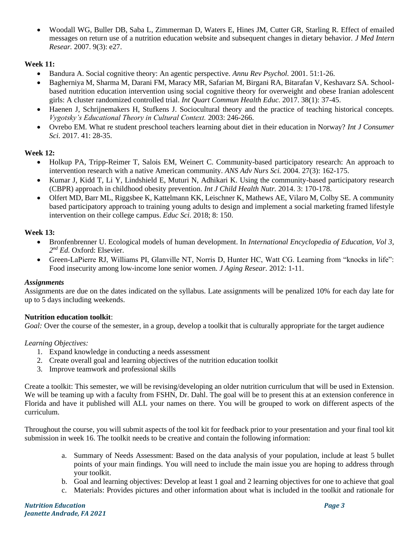• Woodall WG, Buller DB, Saba L, Zimmerman D, Waters E, Hines JM, Cutter GR, Starling R. Effect of emailed messages on return use of a nutrition education website and subsequent changes in dietary behavior. *J Med Intern Resear.* 2007. 9(3): e27.

# **Week 11:**

- Bandura A. Social cognitive theory: An agentic perspective. *Annu Rev Psychol.* 2001. 51:1-26.
- Bagherniya M, Sharma M, Darani FM, Maracy MR, Safarian M, Birgani RA, Bitarafan V, Keshavarz SA. Schoolbased nutrition education intervention using social cognitive theory for overweight and obese Iranian adolescent girls: A cluster randomized controlled trial. *Int Quart Commun Health Educ.* 2017. 38(1): 37-45.
- Haenen J, Schrijnemakers H, Stufkens J. Sociocultural theory and the practice of teaching historical concepts. *Vygotsky's Educational Theory in Cultural Context.* 2003: 246-266.
- Ovrebo EM. What re student preschool teachers learning about diet in their education in Norway? *Int J Consumer Sci.* 2017. 41: 28-35.

# **Week 12:**

- Holkup PA, Tripp-Reimer T, Salois EM, Weinert C. Community-based participatory research: An approach to intervention research with a native American community. *ANS Adv Nurs Sci.* 2004. 27(3): 162-175.
- Kumar J, Kidd T, Li Y, Lindshield E, Muturi N, Adhikari K. Using the community-based participatory research (CBPR) approach in childhood obesity prevention. *Int J Child Health Nutr.* 2014. 3: 170-178.
- Olfert MD, Barr ML, Riggsbee K, Kattelmann KK, Leischner K, Mathews AE, Vilaro M, Colby SE. A community based participatory approach to training young adults to design and implement a social marketing framed lifestyle intervention on their college campus. *Educ Sci.* 2018; 8: 150.

# **Week 13:**

- Bronfenbrenner U. Ecological models of human development. In *International Encyclopedia of Education, Vol 3, 2 nd Ed.* Oxford: Elsevier.
- Green-LaPierre RJ, Williams PI, Glanville NT, Norris D, Hunter HC, Watt CG. Learning from "knocks in life": Food insecurity among low-income lone senior women. *J Aging Resear.* 2012: 1-11.

# *Assignments*

Assignments are due on the dates indicated on the syllabus. Late assignments will be penalized 10% for each day late for up to 5 days including weekends.

# **Nutrition education toolkit**:

*Goal:* Over the course of the semester, in a group, develop a toolkit that is culturally appropriate for the target audience

# *Learning Objectives:*

- 1. Expand knowledge in conducting a needs assessment
- 2. Create overall goal and learning objectives of the nutrition education toolkit
- 3. Improve teamwork and professional skills

Create a toolkit: This semester, we will be revising/developing an older nutrition curriculum that will be used in Extension. We will be teaming up with a faculty from FSHN, Dr. Dahl. The goal will be to present this at an extension conference in Florida and have it published will ALL your names on there. You will be grouped to work on different aspects of the curriculum.

Throughout the course, you will submit aspects of the tool kit for feedback prior to your presentation and your final tool kit submission in week 16. The toolkit needs to be creative and contain the following information:

- a. Summary of Needs Assessment: Based on the data analysis of your population, include at least 5 bullet points of your main findings. You will need to include the main issue you are hoping to address through your toolkit.
- b. Goal and learning objectives: Develop at least 1 goal and 2 learning objectives for one to achieve that goal
- c. Materials: Provides pictures and other information about what is included in the toolkit and rationale for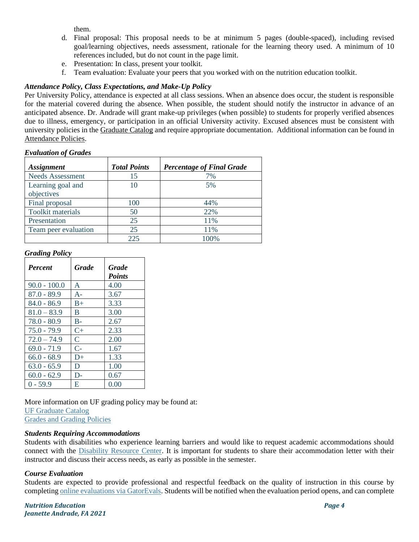them.

- d. Final proposal: This proposal needs to be at minimum 5 pages (double-spaced), including revised goal/learning objectives, needs assessment, rationale for the learning theory used. A minimum of 10 references included, but do not count in the page limit.
- e. Presentation: In class, present your toolkit.
- f. Team evaluation: Evaluate your peers that you worked with on the nutrition education toolkit.

# *Attendance Policy, Class Expectations, and Make-Up Policy*

Per University Policy, attendance is expected at all class sessions. When an absence does occur, the student is responsible for the material covered during the absence. When possible, the student should notify the instructor in advance of an anticipated absence. Dr. Andrade will grant make-up privileges (when possible) to students for properly verified absences due to illness, emergency, or participation in an official University activity. Excused absences must be consistent with university policies in the [Graduate Catalog](https://catalog.ufl.edu/graduate/?catoid=10&navoid=2020#attendance) and require appropriate documentation. Additional information can be found in [Attendance Policies.](https://catalog.ufl.edu/UGRD/academic-regulations/attendance-policies/)

# *Evaluation of Grades*

| <b>Assignment</b>               | <b>Total Points</b> | <b>Percentage of Final Grade</b> |
|---------------------------------|---------------------|----------------------------------|
| <b>Needs Assessment</b>         | 15                  | 7%                               |
| Learning goal and<br>objectives | 10                  | 5%                               |
| Final proposal                  | 100                 | 44%                              |
| <b>Toolkit materials</b>        | 50                  | 22%                              |
| Presentation                    | 25                  | 11%                              |
| Team peer evaluation            | 25                  | 11%                              |
|                                 | 225                 | 100%                             |

### *Grading Policy*

| <b>Percent</b> | <b>Grade</b> | <b>Grade</b><br><b>Points</b> |
|----------------|--------------|-------------------------------|
| $90.0 - 100.0$ | A            | 4.00                          |
| $87.0 - 89.9$  | $A-$         | 3.67                          |
| $84.0 - 86.9$  | $B+$         | 3.33                          |
| $81.0 - 83.9$  | B            | 3.00                          |
| $78.0 - 80.9$  | $B -$        | 2.67                          |
| $75.0 - 79.9$  | $C_{\pm}$    | 2.33                          |
| $72.0 - 74.9$  | $\mathsf{C}$ | 2.00                          |
| $69.0 - 71.9$  | $C-$         | 1.67                          |
| $66.0 - 68.9$  | $D+$         | 1.33                          |
| $63.0 - 65.9$  | D            | 1.00                          |
| $60.0 - 62.9$  | $D-$         | 0.67                          |
| $0 - 59.9$     | Е            | 0.00                          |

More information on UF grading policy may be found at:

[UF Graduate Catalog](https://catalog.ufl.edu/graduate/?catoid=10&navoid=2020#grades)

[Grades and Grading Policies](https://catalog.ufl.edu/UGRD/academic-regulations/grades-grading-policies/)

# *Students Requiring Accommodations*

Students with disabilities who experience learning barriers and would like to request academic accommodations should connect with the [Disability Resource Center.](https://disability.ufl.edu/students/get-started/) It is important for students to share their accommodation letter with their instructor and discuss their access needs, as early as possible in the semester.

# *Course Evaluation*

Students are expected to provide professional and respectful feedback on the quality of instruction in this course by completing [online evaluations](https://gatorevals.aa.ufl.edu/) via GatorEvals. Students will be notified when the evaluation period opens, and can complete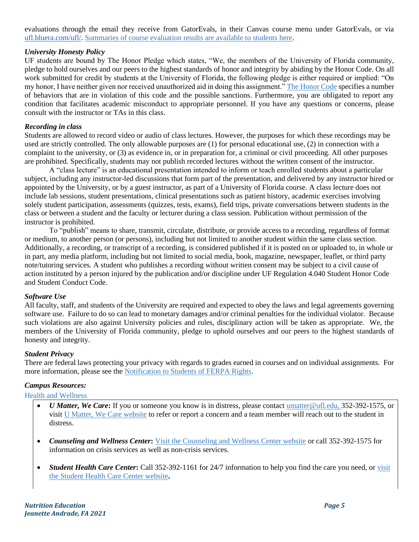evaluations through the email they receive from GatorEvals, in their Canvas course menu under GatorEvals, or via [ufl.bluera.com/ufl/.](https://ufl.bluera.com/ufl/) [Summaries of course evaluation results are available to students here.](https://gatorevals.aa.ufl.edu/public-results/)

### *University Honesty Policy*

UF students are bound by The Honor Pledge which states, "We, the members of the University of Florida community, pledge to hold ourselves and our peers to the highest standards of honor and integrity by abiding by the Honor Code. On all work submitted for credit by students at the University of Florida, the following pledge is either required or implied: "On my honor, I have neither given nor received unauthorized aid in doing this assignment." [The Honor Code](https://sccr.dso.ufl.edu/process/student-conduct-code/) specifies a number of behaviors that are in violation of this code and the possible sanctions. Furthermore, you are obligated to report any condition that facilitates academic misconduct to appropriate personnel. If you have any questions or concerns, please consult with the instructor or TAs in this class.

### *Recording in class*

Students are allowed to record video or audio of class lectures. However, the purposes for which these recordings may be used are strictly controlled. The only allowable purposes are (1) for personal educational use, (2) in connection with a complaint to the university, or (3) as evidence in, or in preparation for, a criminal or civil proceeding. All other purposes are prohibited. Specifically, students may not publish recorded lectures without the written consent of the instructor.

A "class lecture" is an educational presentation intended to inform or teach enrolled students about a particular subject, including any instructor-led discussions that form part of the presentation, and delivered by any instructor hired or appointed by the University, or by a guest instructor, as part of a University of Florida course. A class lecture does not include lab sessions, student presentations, clinical presentations such as patient history, academic exercises involving solely student participation, assessments (quizzes, tests, exams), field trips, private conversations between students in the class or between a student and the faculty or lecturer during a class session. Publication without permission of the instructor is prohibited.

To "publish" means to share, transmit, circulate, distribute, or provide access to a recording, regardless of format or medium, to another person (or persons), including but not limited to another student within the same class section. Additionally, a recording, or transcript of a recording, is considered published if it is posted on or uploaded to, in whole or in part, any media platform, including but not limited to social media, book, magazine, newspaper, leaflet, or third party note/tutoring services. A student who publishes a recording without written consent may be subject to a civil cause of action instituted by a person injured by the publication and/or discipline under UF Regulation 4.040 Student Honor Code and Student Conduct Code.

### *Software Use*

All faculty, staff, and students of the University are required and expected to obey the laws and legal agreements governing software use. Failure to do so can lead to monetary damages and/or criminal penalties for the individual violator. Because such violations are also against University policies and rules, disciplinary action will be taken as appropriate. We, the members of the University of Florida community, pledge to uphold ourselves and our peers to the highest standards of honesty and integrity.

### *Student Privacy*

There are federal laws protecting your privacy with regards to grades earned in courses and on individual assignments. For more information, please see the [Notification to Students of FERPA Rights.](https://registrar.ufl.edu/catalog0910/policies/regulationferpa.html)

### *Campus Resources:*

#### Health and Wellness

- *U Matter, We Care***:** If you or someone you know is in distress, please contac[t umatter@ufl.edu, 3](mailto:umatter@ufl.edu)52-392-1575, or visi[t U Matter, We Care website](https://umatter.ufl.edu/) to refer or report a concern and a team member will reach out to the student in distress.
- *Counseling and Wellness Center***:** [Visit the Counseling and Wellness Center website](https://counseling.ufl.edu/) or call 352-392-1575 for information on crisis services as well as non-crisis services.
- *Student Health Care Center***:** Call 352-392-1161 for 24/7 information to help you find the care you need, or [visit](https://shcc.ufl.edu/)  [the Student Health Care Center website](https://shcc.ufl.edu/)**.**